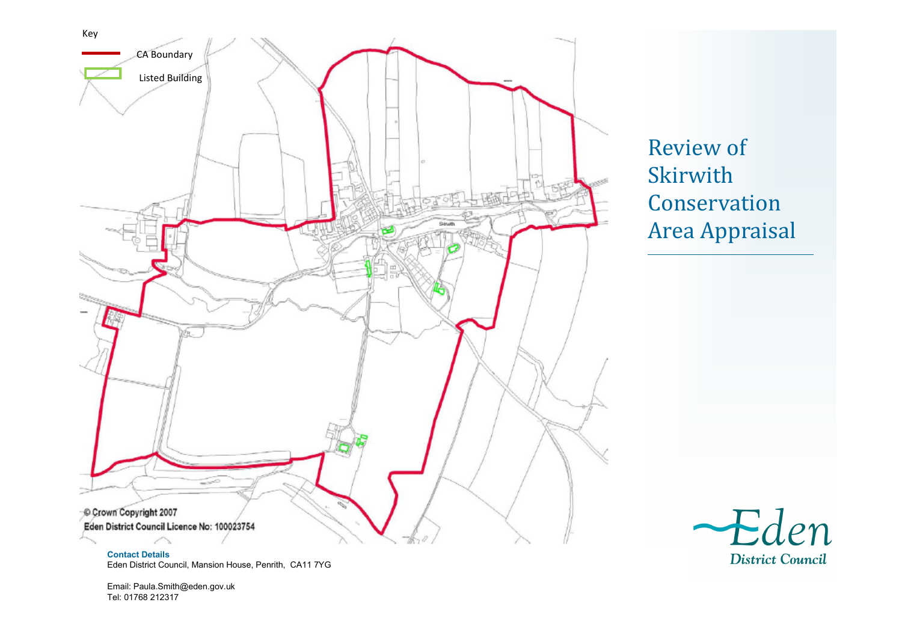

Review of Skirwith Conservation Area Appraisal



**Contact Details** Eden District Council, Mansion House, Penrith, CA11 7YG

Email: Paula.Smith@eden.gov.uk Tel: 01768 212317